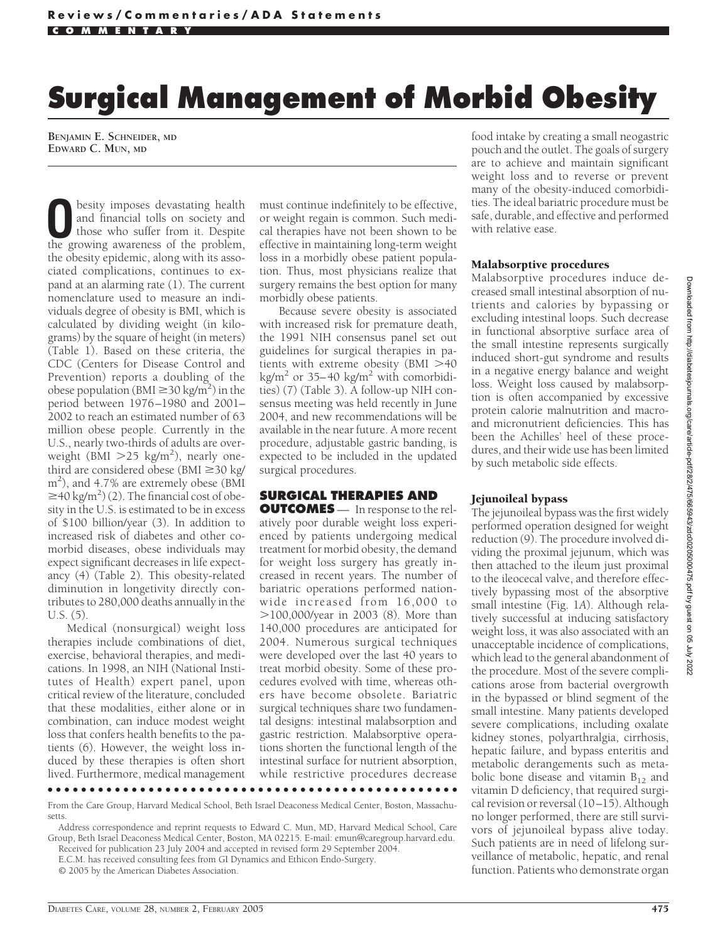# **Surgical Management of Morbid Obesity**

**BENJAMIN E. SCHNEIDER, MD EDWARD C. MUN, MD**

besity imposes devastating health and financial tolls on society and those who suffer from it. Despite the growing awareness of the problem, the obesity epidemic, along with its associated complications, continues to expand at an alarming rate (1). The current nomenclature used to measure an individuals degree of obesity is BMI, which is calculated by dividing weight (in kilograms) by the square of height (in meters) (Table 1). Based on these criteria, the CDC (Centers for Disease Control and Prevention) reports a doubling of the obese population (BMI  $\geq$  30 kg/m<sup>2</sup>) in the period between 1976 –1980 and 2001– 2002 to reach an estimated number of 63 million obese people. Currently in the U.S., nearly two-thirds of adults are overweight ( $\text{BMI} > 25 \text{ kg/m}^2$ ), nearly onethird are considered obese (BMI  $\geq$  30 kg/ m2 ), and 4.7% are extremely obese (BMI  $\geq$  40 kg/m<sup>2</sup>) (2). The financial cost of obesity in the U.S. is estimated to be in excess of \$100 billion/year (3). In addition to increased risk of diabetes and other comorbid diseases, obese individuals may expect significant decreases in life expectancy (4) (Table 2). This obesity-related diminution in longetivity directly contributes to 280,000 deaths annually in the U.S. (5).

Medical (nonsurgical) weight loss therapies include combinations of diet, exercise, behavioral therapies, and medications. In 1998, an NIH (National Institutes of Health) expert panel, upon critical review of the literature, concluded that these modalities, either alone or in combination, can induce modest weight loss that confers health benefits to the patients (6). However, the weight loss induced by these therapies is often short lived. Furthermore, medical management

must continue indefinitely to be effective, or weight regain is common. Such medical therapies have not been shown to be effective in maintaining long-term weight loss in a morbidly obese patient population. Thus, most physicians realize that surgery remains the best option for many morbidly obese patients.

Because severe obesity is associated with increased risk for premature death, the 1991 NIH consensus panel set out guidelines for surgical therapies in patients with extreme obesity ( $BMI > 40$ kg/m<sup>2</sup> or 35–40 kg/m<sup>2</sup> with comorbidities) (7) (Table 3). A follow-up NIH consensus meeting was held recently in June 2004, and new recommendations will be available in the near future. A more recent procedure, adjustable gastric banding, is expected to be included in the updated surgical procedures.

# **SURGICAL THERAPIES AND**

**OUTCOMES** — In response to the relatively poor durable weight loss experienced by patients undergoing medical treatment for morbid obesity, the demand for weight loss surgery has greatly increased in recent years. The number of bariatric operations performed nationwide increased from 16,000 to 100,000/year in 2003 (8). More than 140,000 procedures are anticipated for 2004. Numerous surgical techniques were developed over the last 40 years to treat morbid obesity. Some of these procedures evolved with time, whereas others have become obsolete. Bariatric surgical techniques share two fundamental designs: intestinal malabsorption and gastric restriction. Malabsorptive operations shorten the functional length of the intestinal surface for nutrient absorption, while restrictive procedures decrease

●●●●●●●●●●●●●●●●●●●●●●●●●●●●●●●●●●●●●●●●●●●●●●●●●

From the Care Group, Harvard Medical School, Beth Israel Deaconess Medical Center, Boston, Massachusetts.

Address correspondence and reprint requests to Edward C. Mun, MD, Harvard Medical School, Care Group, Beth Israel Deaconess Medical Center, Boston, MA 02215. E-mail: emun@caregroup.harvard.edu. Received for publication 23 July 2004 and accepted in revised form 29 September 2004.

E.C.M. has received consulting fees from GI Dynamics and Ethicon Endo-Surgery.

© 2005 by the American Diabetes Association.

food intake by creating a small neogastric pouch and the outlet. The goals of surgery are to achieve and maintain significant weight loss and to reverse or prevent many of the obesity-induced comorbidities. The ideal bariatric procedure must be safe, durable, and effective and performed with relative ease.

#### Malabsorptive procedures

Malabsorptive procedures induce decreased small intestinal absorption of nutrients and calories by bypassing or excluding intestinal loops. Such decrease in functional absorptive surface area of the small intestine represents surgically induced short-gut syndrome and results in a negative energy balance and weight loss. Weight loss caused by malabsorption is often accompanied by excessive protein calorie malnutrition and macroand micronutrient deficiencies. This has been the Achilles' heel of these procedures, and their wide use has been limited by such metabolic side effects.

## Jejunoileal bypass

The jejunoileal bypass was the first widely performed operation designed for weight reduction (9). The procedure involved dividing the proximal jejunum, which was then attached to the ileum just proximal to the ileocecal valve, and therefore effectively bypassing most of the absorptive small intestine (Fig. 1*A*). Although relatively successful at inducing satisfactory weight loss, it was also associated with an unacceptable incidence of complications, which lead to the general abandonment of the procedure. Most of the severe complications arose from bacterial overgrowth in the bypassed or blind segment of the small intestine. Many patients developed severe complications, including oxalate kidney stones, polyarthralgia, cirrhosis, hepatic failure, and bypass enteritis and metabolic derangements such as metabolic bone disease and vitamin  $B_{12}$  and vitamin D deficiency, that required surgical revision or reversal (10-15). Although no longer performed, there are still survivors of jejunoileal bypass alive today. Such patients are in need of lifelong surveillance of metabolic, hepatic, and renal function. Patients who demonstrate organ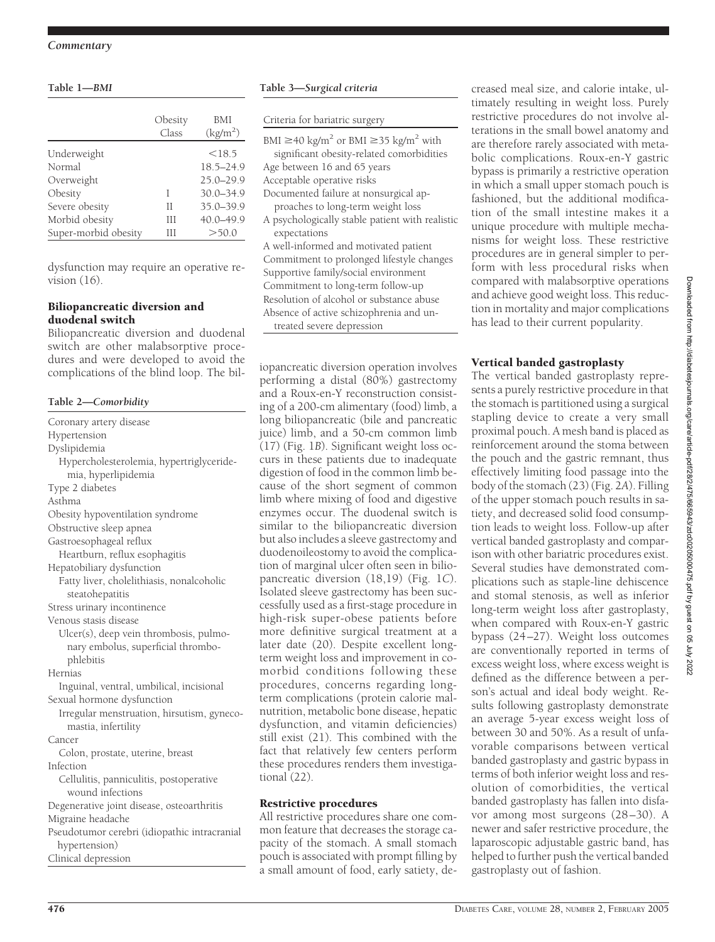#### **Table 1—***BMI*

|                      | Obesity<br>Class | BMI<br>$\text{(kg/m}^2)$ |
|----------------------|------------------|--------------------------|
| Underweight          |                  | <18.5                    |
| Normal               |                  | 18.5-24.9                |
| Overweight           |                  | $25.0 - 29.9$            |
| Obesity              | T                | $30.0 - 34.9$            |
| Severe obesity       | Н                | $35.0 - 39.9$            |
| Morbid obesity       | Ш                | 40.0-49.9                |
| Super-morbid obesity | Ш                | >50.0                    |

dysfunction may require an operative revision (16).

#### Biliopancreatic diversion and duodenal switch

Biliopancreatic diversion and duodenal switch are other malabsorptive procedures and were developed to avoid the complications of the blind loop. The bil-<br>complications of the blind loop. The bil-

### **Table 2—***Comorbidity*

Coronary artery disease Hypertension Dyslipidemia Hypercholesterolemia, hypertriglyceridemia, hyperlipidemia Type 2 diabetes Asthma Obesity hypoventilation syndrome Obstructive sleep apnea Gastroesophageal reflux Heartburn, reflux esophagitis Hepatobiliary dysfunction Fatty liver, cholelithiasis, nonalcoholic steatohepatitis Stress urinary incontinence Venous stasis disease Ulcer(s), deep vein thrombosis, pulmonary embolus, superficial thrombophlebitis Hernias Inguinal, ventral, umbilical, incisional Sexual hormone dysfunction Irregular menstruation, hirsutism, gynecomastia, infertility Cancer Colon, prostate, uterine, breast Infection Cellulitis, panniculitis, postoperative wound infections Degenerative joint disease, osteoarthritis Migraine headache Pseudotumor cerebri (idiopathic intracranial hypertension) Clinical depression

#### **Table 3—***Surgical criteria*

Criteria for bariatric surgery

| BMI $\geq$ 40 kg/m <sup>2</sup> or BMI $\geq$ 35 kg/m <sup>2</sup> with |
|-------------------------------------------------------------------------|
| significant obesity-related comorbidities                               |
| Age between 16 and 65 years                                             |
| Acceptable operative risks                                              |
| Documented failure at nonsurgical ap-                                   |
| proaches to long-term weight loss                                       |
| A psychologically stable patient with realistic                         |
| expectations                                                            |
| A well-informed and motivated patient                                   |
| Commitment to prolonged lifestyle changes                               |
| Supportive family/social environment                                    |
| Commitment to long-term follow-up                                       |
| Resolution of alcohol or substance abuse                                |

Absence of active schizophrenia and un-

treated severe depression

performing a distal (80%) gastrectomy and a Roux-en-Y reconstruction consisting of a 200-cm alimentary (food) limb, a long biliopancreatic (bile and pancreatic juice) limb, and a 50-cm common limb (17) (Fig. 1*B*). Significant weight loss occurs in these patients due to inadequate digestion of food in the common limb because of the short segment of common limb where mixing of food and digestive enzymes occur. The duodenal switch is similar to the biliopancreatic diversion but also includes a sleeve gastrectomy and duodenoileostomy to avoid the complication of marginal ulcer often seen in biliopancreatic diversion (18,19) (Fig. 1*C*). Isolated sleeve gastrectomy has been successfully used as a first-stage procedure in high-risk super-obese patients before more definitive surgical treatment at a later date (20). Despite excellent longterm weight loss and improvement in comorbid conditions following these procedures, concerns regarding longterm complications (protein calorie malnutrition, metabolic bone disease, hepatic dysfunction, and vitamin deficiencies) still exist (21). This combined with the fact that relatively few centers perform these procedures renders them investigational (22).

#### Restrictive procedures

All restrictive procedures share one common feature that decreases the storage capacity of the stomach. A small stomach pouch is associated with prompt filling by a small amount of food, early satiety, decreased meal size, and calorie intake, ultimately resulting in weight loss. Purely restrictive procedures do not involve alterations in the small bowel anatomy and are therefore rarely associated with metabolic complications. Roux-en-Y gastric bypass is primarily a restrictive operation in which a small upper stomach pouch is fashioned, but the additional modification of the small intestine makes it a unique procedure with multiple mechanisms for weight loss. These restrictive procedures are in general simpler to perform with less procedural risks when compared with malabsorptive operations and achieve good weight loss. This reduction in mortality and major complications has lead to their current popularity.

# Vertical banded gastroplasty

The vertical banded gastroplasty represents a purely restrictive procedure in that the stomach is partitioned using a surgical stapling device to create a very small proximal pouch. A mesh band is placed as reinforcement around the stoma between the pouch and the gastric remnant, thus effectively limiting food passage into the body of the stomach (23) (Fig. 2*A*). Filling of the upper stomach pouch results in satiety, and decreased solid food consumption leads to weight loss. Follow-up after vertical banded gastroplasty and comparison with other bariatric procedures exist. Several studies have demonstrated complications such as staple-line dehiscence and stomal stenosis, as well as inferior long-term weight loss after gastroplasty, when compared with Roux-en-Y gastric bypass (24 –27). Weight loss outcomes are conventionally reported in terms of excess weight loss, where excess weight is defined as the difference between a person's actual and ideal body weight. Results following gastroplasty demonstrate an average 5-year excess weight loss of between 30 and 50%. As a result of unfavorable comparisons between vertical banded gastroplasty and gastric bypass in terms of both inferior weight loss and resolution of comorbidities, the vertical banded gastroplasty has fallen into disfavor among most surgeons (28 –30). A newer and safer restrictive procedure, the laparoscopic adjustable gastric band, has helped to further push the vertical banded gastroplasty out of fashion.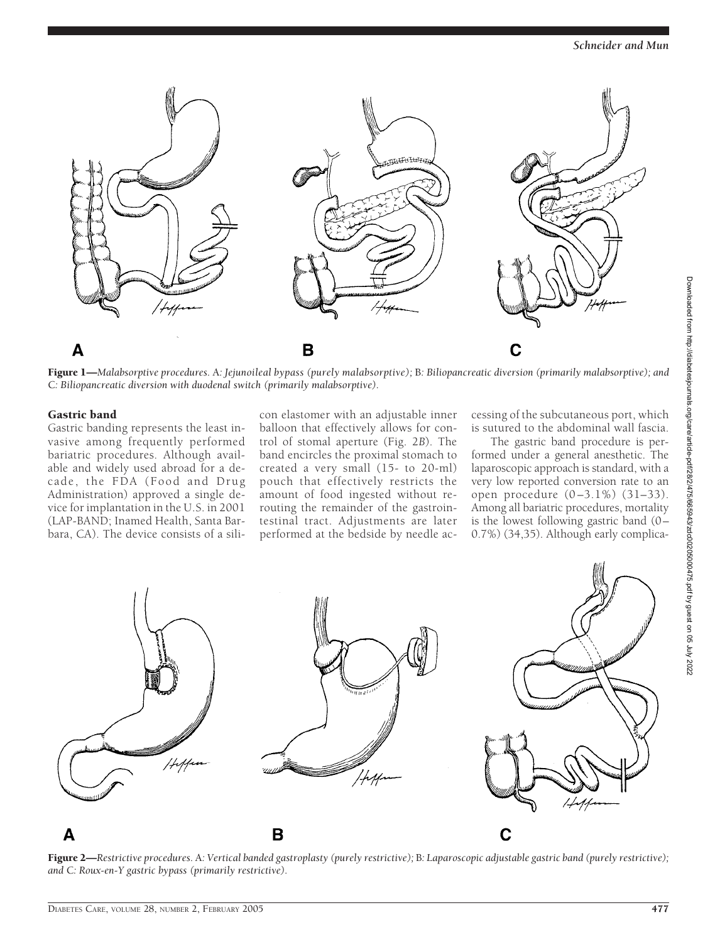

Figure 1—*Malabsorptive procedures.* A*: Jejunoileal bypass (purely malabsorptive);* B*: Biliopancreatic diversion (primarily malabsorptive); and* C*: Biliopancreatic diversion with duodenal switch (primarily malabsorptive).*

#### Gastric band

Gastric banding represents the least invasive among frequently performed bariatric procedures. Although available and widely used abroad for a decade, the FDA (Food and Drug Administration) approved a single device for implantation in the U.S. in 2001 (LAP-BAND; Inamed Health, Santa Barbara, CA). The device consists of a sili-

con elastomer with an adjustable inner balloon that effectively allows for control of stomal aperture (Fig. 2*B*). The band encircles the proximal stomach to created a very small (15- to 20-ml) pouch that effectively restricts the amount of food ingested without rerouting the remainder of the gastrointestinal tract. Adjustments are later performed at the bedside by needle accessing of the subcutaneous port, which is sutured to the abdominal wall fascia.

The gastric band procedure is performed under a general anesthetic. The laparoscopic approach is standard, with a very low reported conversion rate to an open procedure (0 –3.1%) (31–33). Among all bariatric procedures, mortality is the lowest following gastric band  $(0 -$ 0.7%) (34,35). Although early complica-



Figure 2—*Restrictive procedures.* A*: Vertical banded gastroplasty (purely restrictive);* B*: Laparoscopic adjustable gastric band (purely restrictive); and* C*: Roux-en-Y gastric bypass (primarily restrictive).*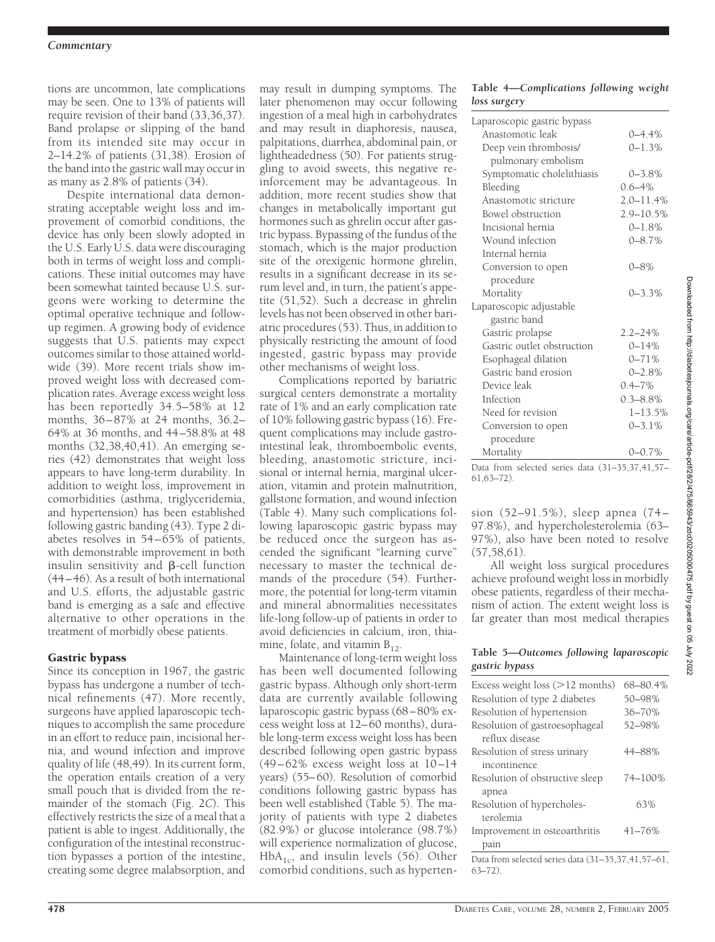#### *Commentary*

tions are uncommon, late complications may be seen. One to 13% of patients will require revision of their band (33,36,37). Band prolapse or slipping of the band from its intended site may occur in 2–14.2% of patients (31,38). Erosion of the band into the gastric wall may occur in as many as 2.8% of patients (34).

Despite international data demonstrating acceptable weight loss and improvement of comorbid conditions, the device has only been slowly adopted in the U.S. Early U.S. data were discouraging both in terms of weight loss and complications. These initial outcomes may have been somewhat tainted because U.S. surgeons were working to determine the optimal operative technique and followup regimen. A growing body of evidence suggests that U.S. patients may expect outcomes similar to those attained worldwide (39). More recent trials show improved weight loss with decreased complication rates. Average excess weight loss has been reportedly 34.5–58% at 12 months, 36 – 87% at 24 months, 36.2– 64% at 36 months, and 44 –58.8% at 48 months (32,38,40,41). An emerging series (42) demonstrates that weight loss appears to have long-term durability. In addition to weight loss, improvement in comorbidities (asthma, triglyceridemia, and hypertension) has been established following gastric banding (43). Type 2 diabetes resolves in 54 – 65% of patients, with demonstrable improvement in both insulin sensitivity and B-cell function (44 – 46). As a result of both international and U.S. efforts, the adjustable gastric band is emerging as a safe and effective alternative to other operations in the treatment of morbidly obese patients.

## Gastric bypass

Since its conception in 1967, the gastric bypass has undergone a number of technical refinements (47). More recently, surgeons have applied laparoscopic techniques to accomplish the same procedure in an effort to reduce pain, incisional hernia, and wound infection and improve quality of life (48,49). In its current form, the operation entails creation of a very small pouch that is divided from the remainder of the stomach (Fig. 2*C*). This effectively restricts the size of a meal that a patient is able to ingest. Additionally, the configuration of the intestinal reconstruction bypasses a portion of the intestine, creating some degree malabsorption, and

may result in dumping symptoms. The later phenomenon may occur following ingestion of a meal high in carbohydrates and may result in diaphoresis, nausea, palpitations, diarrhea, abdominal pain, or lightheadedness (50). For patients struggling to avoid sweets, this negative reinforcement may be advantageous. In addition, more recent studies show that changes in metabolically important gut hormones such as ghrelin occur after gastric bypass. Bypassing of the fundus of the stomach, which is the major production site of the orexigenic hormone ghrelin, results in a significant decrease in its serum level and, in turn, the patient's appetite (51,52). Such a decrease in ghrelin levels has not been observed in other bariatric procedures (53). Thus, in addition to physically restricting the amount of food ingested, gastric bypass may provide other mechanisms of weight loss.

Complications reported by bariatric surgical centers demonstrate a mortality rate of 1% and an early complication rate of 10% following gastric bypass (16). Frequent complications may include gastrointestinal leak, thromboembolic events, bleeding, anastomotic stricture, incisional or internal hernia, marginal ulceration, vitamin and protein malnutrition, gallstone formation, and wound infection (Table 4). Many such complications following laparoscopic gastric bypass may be reduced once the surgeon has ascended the significant "learning curve" necessary to master the technical demands of the procedure (54). Furthermore, the potential for long-term vitamin and mineral abnormalities necessitates life-long follow-up of patients in order to avoid deficiencies in calcium, iron, thiamine, folate, and vitamin  $B_{12}$ .

Maintenance of long-term weight loss has been well documented following gastric bypass. Although only short-term data are currently available following laparoscopic gastric bypass (68 – 80% excess weight loss at 12– 60 months), durable long-term excess weight loss has been described following open gastric bypass  $(49 - 62\%$  excess weight loss at  $10 - 14$ years) (55– 60). Resolution of comorbid conditions following gastric bypass has been well established (Table 5). The majority of patients with type 2 diabetes (82.9%) or glucose intolerance (98.7%) will experience normalization of glucose,  $HbA<sub>1c</sub>$ , and insulin levels (56). Other comorbid conditions, such as hyperten-

#### **Table 4—***Complications following weight loss surgery*

| Laparoscopic gastric bypass                                        |               |
|--------------------------------------------------------------------|---------------|
| Anastomotic leak                                                   | $0 - 4.4%$    |
| Deep vein thrombosis/                                              | $0 - 1.3%$    |
| pulmonary embolism                                                 |               |
| Symptomatic cholelithiasis                                         | $0 - 3.8%$    |
| Bleeding                                                           | $0.6 - 4%$    |
| Anastomotic stricture                                              | $2.0 - 11.4%$ |
| Bowel obstruction                                                  | 2.9-10.5%     |
| Incisional hernia                                                  | $0 - 1.8%$    |
| Wound infection                                                    | $0 - 8.7%$    |
| Internal hernia                                                    |               |
| Conversion to open                                                 | $0 - 8\%$     |
| procedure                                                          |               |
| Mortality                                                          | $0 - 3.3%$    |
| Laparoscopic adjustable                                            |               |
| gastric band                                                       |               |
| Gastric prolapse                                                   | $2.2 - 24%$   |
| Gastric outlet obstruction                                         | $0 - 14%$     |
| Esophageal dilation                                                | $0 - 71%$     |
| Gastric band erosion                                               | $0 - 2.8%$    |
| Device leak                                                        | $0.4 - 7\%$   |
| Infection                                                          | $0.3 - 8.8\%$ |
| Need for revision                                                  | $1 - 13.5%$   |
| Conversion to open                                                 | $0 - 3.1\%$   |
| procedure                                                          |               |
| Mortality                                                          | $0 - 0.7%$    |
| Data from selected series data (31-35,37,41,57-<br>$61,63 - 72$ ). |               |

sion (52–91.5%), sleep apnea (74 – 97.8%), and hypercholesterolemia (63– 97%), also have been noted to resolve  $(57,58,61)$ .

All weight loss surgical procedures achieve profound weight loss in morbidly obese patients, regardless of their mechanism of action. The extent weight loss is far greater than most medical therapies

#### **Table 5—***Outcomes following laparoscopic gastric bypass*

| Excess weight loss $(>12$ months)                    | 68-80.4%   |  |
|------------------------------------------------------|------------|--|
| Resolution of type 2 diabetes                        | 50-98%     |  |
| Resolution of hypertension                           | 36-70%     |  |
| Resolution of gastroesophageal                       | 52-98%     |  |
| reflux disease                                       |            |  |
| Resolution of stress urinary                         | 44-88%     |  |
| incontinence                                         |            |  |
| Resolution of obstructive sleep                      | 74-100%    |  |
| apnea                                                |            |  |
| Resolution of hypercholes-                           | 63%        |  |
| terolemia                                            |            |  |
| Improvement in osteoarthritis                        | $41 - 76%$ |  |
| pain                                                 |            |  |
| Data from selected series data $(31-35,37,41,57-61,$ |            |  |

Data from selected series data (31–35,37,41,57–61, 63–72).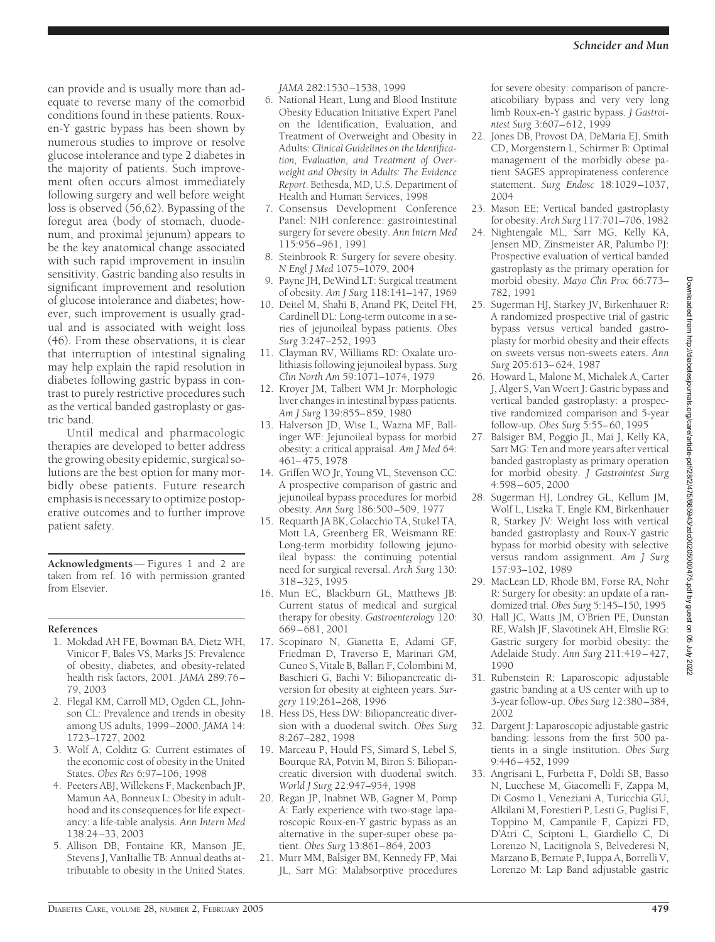can provide and is usually more than adequate to reverse many of the comorbid conditions found in these patients. Rouxen-Y gastric bypass has been shown by numerous studies to improve or resolve glucose intolerance and type 2 diabetes in the majority of patients. Such improvement often occurs almost immediately following surgery and well before weight loss is observed (56,62). Bypassing of the foregut area (body of stomach, duodenum, and proximal jejunum) appears to be the key anatomical change associated with such rapid improvement in insulin sensitivity. Gastric banding also results in significant improvement and resolution of glucose intolerance and diabetes; however, such improvement is usually gradual and is associated with weight loss (46). From these observations, it is clear that interruption of intestinal signaling may help explain the rapid resolution in diabetes following gastric bypass in contrast to purely restrictive procedures such as the vertical banded gastroplasty or gastric band.

Until medical and pharmacologic therapies are developed to better address the growing obesity epidemic, surgical solutions are the best option for many morbidly obese patients. Future research emphasis is necessary to optimize postoperative outcomes and to further improve patient safety.

**Acknowledgments**— Figures 1 and 2 are taken from ref. 16 with permission granted from Elsevier.

#### **References**

- 1. Mokdad AH FE, Bowman BA, Dietz WH, Vinicor F, Bales VS, Marks JS: Prevalence of obesity, diabetes, and obesity-related health risk factors, 2001. *JAMA* 289:76 – 79, 2003
- 2. Flegal KM, Carroll MD, Ogden CL, Johnson CL: Prevalence and trends in obesity among US adults, 1999 –2000. *JAMA* 14: 1723–1727, 2002
- 3. Wolf A, Colditz G: Current estimates of the economic cost of obesity in the United States. *Obes Res* 6:97–106, 1998
- 4. Peeters ABJ, Willekens F, Mackenbach JP, Mamun AA, Bonneux L: Obesity in adulthood and its consequences for life expectancy: a life-table analysis. *Ann Intern Med* 138:24 –33, 2003
- 5. Allison DB, Fontaine KR, Manson JE, Stevens J, VanItallie TB: Annual deaths attributable to obesity in the United States.

*JAMA* 282:1530 –1538, 1999

- 6. National Heart, Lung and Blood Institute Obesity Education Initiative Expert Panel on the Identification, Evaluation, and Treatment of Overweight and Obesity in Adults: *Clinical Guidelines on the Identification, Evaluation, and Treatment of Overweight and Obesity in Adults: The Evidence Report*. Bethesda, MD, U.S. Department of Health and Human Services, 1998
- 7. Consensus Development Conference Panel: NIH conference: gastrointestinal surgery for severe obesity. *Ann Intern Med* 115:956 –961, 1991
- 8. Steinbrook R: Surgery for severe obesity. *N Engl J Med* 1075–1079, 2004
- 9. Payne JH, DeWind LT: Surgical treatment of obesity. *Am J Surg* 118:141–147, 1969
- 10. Deitel M, Shahi B, Anand PK, Deitel FH, Cardinell DL: Long-term outcome in a series of jejunoileal bypass patients. *Obes Surg* 3:247–252, 1993
- 11. Clayman RV, Williams RD: Oxalate urolithiasis following jejunoileal bypass. *Surg Clin North Am* 59:1071–1074, 1979
- 12. Kroyer JM, Talbert WM Jr: Morphologic liver changes in intestinal bypass patients. *Am J Surg* 139:855– 859, 1980
- 13. Halverson JD, Wise L, Wazna MF, Ballinger WF: Jejunoileal bypass for morbid obesity: a critical appraisal. *Am J Med* 64: 461– 475, 1978
- 14. Griffen WO Jr, Young VL, Stevenson CC: A prospective comparison of gastric and jejunoileal bypass procedures for morbid obesity. *Ann Surg* 186:500 –509, 1977
- 15. Requarth JA BK, Colacchio TA, Stukel TA, Mott LA, Greenberg ER, Weismann RE: Long-term morbidity following jejunoileal bypass: the continuing potential need for surgical reversal. *Arch Surg* 130: 318 –325, 1995
- 16. Mun EC, Blackburn GL, Matthews JB: Current status of medical and surgical therapy for obesity. *Gastroenterology* 120: 669 – 681, 2001
- 17. Scopinaro N, Gianetta E, Adami GF, Friedman D, Traverso E, Marinari GM, Cuneo S, Vitale B, Ballari F, Colombini M, Baschieri G, Bachi V: Biliopancreatic diversion for obesity at eighteen years. *Surgery* 119:261–268, 1996
- 18. Hess DS, Hess DW: Biliopancreatic diversion with a duodenal switch. *Obes Surg* 8:267–282, 1998
- 19. Marceau P, Hould FS, Simard S, Lebel S, Bourque RA, Potvin M, Biron S: Biliopancreatic diversion with duodenal switch. *World J Surg* 22:947–954, 1998
- 20. Regan JP, Inabnet WB, Gagner M, Pomp A: Early experience with two-stage laparoscopic Roux-en-Y gastric bypass as an alternative in the super-super obese patient. *Obes Surg* 13:861– 864, 2003
- 21. Murr MM, Balsiger BM, Kennedy FP, Mai JL, Sarr MG: Malabsorptive procedures

for severe obesity: comparison of pancreaticobiliary bypass and very very long limb Roux-en-Y gastric bypass. *J Gastrointest Surg* 3:607– 612, 1999

- 22. Jones DB, Provost DA, DeMaria EJ, Smith CD, Morgenstern L, Schirmer B: Optimal management of the morbidly obese patient SAGES appropirateness conference statement. *Surg Endosc* 18:1029 –1037, 2004
- 23. Mason EE: Vertical banded gastroplasty for obesity. *Arch Surg* 117:701–706, 1982
- 24. Nightengale ML, Sarr MG, Kelly KA, Jensen MD, Zinsmeister AR, Palumbo PJ: Prospective evaluation of vertical banded gastroplasty as the primary operation for morbid obesity. *Mayo Clin Proc* 66:773– 782, 1991
- 25. Sugerman HJ, Starkey JV, Birkenhauer R: A randomized prospective trial of gastric bypass versus vertical banded gastroplasty for morbid obesity and their effects on sweets versus non-sweets eaters. *Ann Surg* 205:613– 624, 1987
- 26. Howard L, Malone M, Michalek A, Carter J, Alger S, Van Woert J: Gastric bypass and vertical banded gastroplasty: a prospective randomized comparison and 5-year follow-up. *Obes Surg* 5:55– 60, 1995
- 27. Balsiger BM, Poggio JL, Mai J, Kelly KA, Sarr MG: Ten and more years after vertical banded gastroplasty as primary operation for morbid obesity. *J Gastrointest Surg* 4:598 – 605, 2000
- 28. Sugerman HJ, Londrey GL, Kellum JM, Wolf L, Liszka T, Engle KM, Birkenhauer R, Starkey JV: Weight loss with vertical banded gastroplasty and Roux-Y gastric bypass for morbid obesity with selective versus random assignment. *Am J Surg* 157:93–102, 1989
- 29. MacLean LD, Rhode BM, Forse RA, Nohr R: Surgery for obesity: an update of a randomized trial. *Obes Surg* 5:145–150, 1995
- 30. Hall JC, Watts JM, O'Brien PE, Dunstan RE, Walsh JF, Slavotinek AH, Elmslie RG: Gastric surgery for morbid obesity: the Adelaide Study. *Ann Surg* 211:419 – 427, 1990
- 31. Rubenstein R: Laparoscopic adjustable gastric banding at a US center with up to 3-year follow-up. *Obes Surg* 12:380 –384, 2002
- 32. Dargent J: Laparoscopic adjustable gastric banding: lessons from the first 500 patients in a single institution. *Obes Surg* 9:446 – 452, 1999
- 33. Angrisani L, Furbetta F, Doldi SB, Basso N, Lucchese M, Giacomelli F, Zappa M, Di Cosmo L, Veneziani A, Turicchia GU, Alkilani M, Forestieri P, Lesti G, Puglisi F, Toppino M, Campanile F, Capizzi FD, D'Atri C, Sciptoni L, Giardiello C, Di Lorenzo N, Lacitignola S, Belvederesi N, Marzano B, Bernate P, Iuppa A, Borrelli V, Lorenzo M: Lap Band adjustable gastric